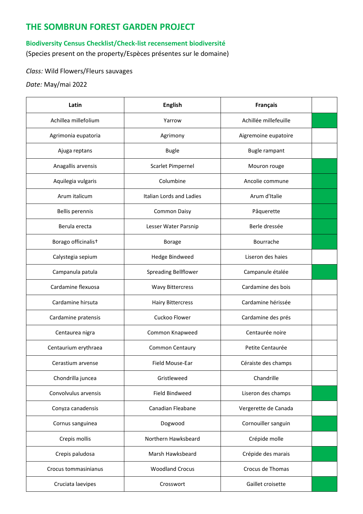## **THE SOMBRUN FOREST GARDEN PROJECT**

## **Biodiversity Census Checklist/Check-list recensement biodiversité**

(Species present on the property/Espèces présentes sur le domaine)

## *Class:* Wild Flowers/Fleurs sauvages

*Date:* May/mai 2022

| Latin                | <b>English</b>              | <b>Français</b>       |  |
|----------------------|-----------------------------|-----------------------|--|
| Achillea millefolium | Yarrow                      | Achillée millefeuille |  |
| Agrimonia eupatoria  | Agrimony                    | Aigremoine eupatoire  |  |
| Ajuga reptans        | <b>Bugle</b>                | Bugle rampant         |  |
| Anagallis arvensis   | Scarlet Pimpernel           | Mouron rouge          |  |
| Aquilegia vulgaris   | Columbine                   | Ancolie commune       |  |
| Arum italicum        | Italian Lords and Ladies    | Arum d'Italie         |  |
| Bellis perennis      | Common Daisy                | Pâquerette            |  |
| Berula erecta        | Lesser Water Parsnip        | Berle dressée         |  |
| Borago officinalist  | <b>Borage</b>               | Bourrache             |  |
| Calystegia sepium    | <b>Hedge Bindweed</b>       | Liseron des haies     |  |
| Campanula patula     | <b>Spreading Bellflower</b> | Campanule étalée      |  |
| Cardamine flexuosa   | <b>Wavy Bittercress</b>     | Cardamine des bois    |  |
| Cardamine hirsuta    | <b>Hairy Bittercress</b>    | Cardamine hérissée    |  |
| Cardamine pratensis  | Cuckoo Flower               | Cardamine des prés    |  |
| Centaurea nigra      | Common Knapweed             | Centaurée noire       |  |
| Centaurium erythraea | Common Centaury             | Petite Centaurée      |  |
| Cerastium arvense    | Field Mouse-Ear             | Céraiste des champs   |  |
| Chondrilla juncea    | Gristleweed                 | Chandrille            |  |
| Convolvulus arvensis | Field Bindweed              | Liseron des champs    |  |
| Conyza canadensis    | Canadian Fleabane           | Vergerette de Canada  |  |
| Cornus sanguinea     | Dogwood                     | Cornouiller sanguin   |  |
| Crepis mollis        | Northern Hawksbeard         | Crépide molle         |  |
| Crepis paludosa      | Marsh Hawksbeard            | Crépide des marais    |  |
| Crocus tommasinianus | <b>Woodland Crocus</b>      | Crocus de Thomas      |  |
| Cruciata laevipes    | Crosswort                   | Gaillet croisette     |  |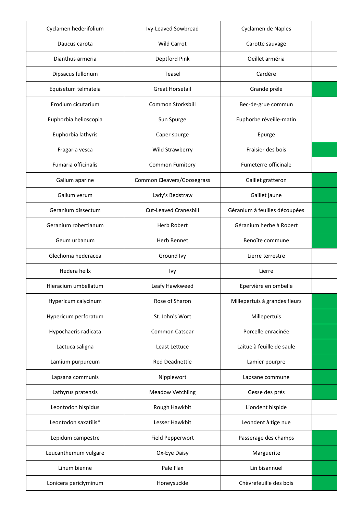| Cyclamen hederifolium | Ivy-Leaved Sowbread          | Cyclamen de Naples            |  |
|-----------------------|------------------------------|-------------------------------|--|
| Daucus carota         | <b>Wild Carrot</b>           | Carotte sauvage               |  |
| Dianthus armeria      | Deptford Pink                | Oeillet arméria               |  |
| Dipsacus fullonum     | Teasel                       | Cardère                       |  |
| Equisetum telmateia   | <b>Great Horsetail</b>       | Grande prêle                  |  |
| Erodium cicutarium    | Common Storksbill            | Bec-de-grue commun            |  |
| Euphorbia helioscopia | Sun Spurge                   | Euphorbe réveille-matin       |  |
| Euphorbia lathyris    | Caper spurge                 | Epurge                        |  |
| Fragaria vesca        | Wild Strawberry              | Fraisier des bois             |  |
| Fumaria officinalis   | Common Fumitory              | Fumeterre officinale          |  |
| Galium aparine        | Common Cleavers/Goosegrass   | Gaillet gratteron             |  |
| Galium verum          | Lady's Bedstraw              | Gaillet jaune                 |  |
| Geranium dissectum    | <b>Cut-Leaved Cranesbill</b> | Géranium à feuilles découpées |  |
| Geranium robertianum  | <b>Herb Robert</b>           | Géranium herbe à Robert       |  |
| Geum urbanum          | <b>Herb Bennet</b>           | Benoîte commune               |  |
| Glechoma hederacea    | Ground Ivy                   | Lierre terrestre              |  |
| Hedera heilx          | Ivy                          | Lierre                        |  |
| Hieracium umbellatum  | Leafy Hawkweed               | Epervière en ombelle          |  |
| Hypericum calycinum   | Rose of Sharon               | Millepertuis à grandes fleurs |  |
| Hypericum perforatum  | St. John's Wort              | Millepertuis                  |  |
| Hypochaeris radicata  | Common Catsear               | Porcelle enracinée            |  |
| Lactuca saligna       | Least Lettuce                | Laitue à feuille de saule     |  |
| Lamium purpureum      | <b>Red Deadnettle</b>        | Lamier pourpre                |  |
| Lapsana communis      | Nipplewort                   | Lapsane commune               |  |
| Lathyrus pratensis    | <b>Meadow Vetchling</b>      | Gesse des prés                |  |
| Leontodon hispidus    | Rough Hawkbit                | Liondent hispide              |  |
| Leontodon saxatilis*  | Lesser Hawkbit               | Leondent à tige nue           |  |
| Lepidum campestre     | Field Pepperwort             | Passerage des champs          |  |
| Leucanthemum vulgare  | Ox-Eye Daisy                 | Marguerite                    |  |
| Linum bienne          | Pale Flax                    | Lin bisannuel                 |  |
| Lonicera periclyminum | Honeysuckle                  | Chèvrefeuille des bois        |  |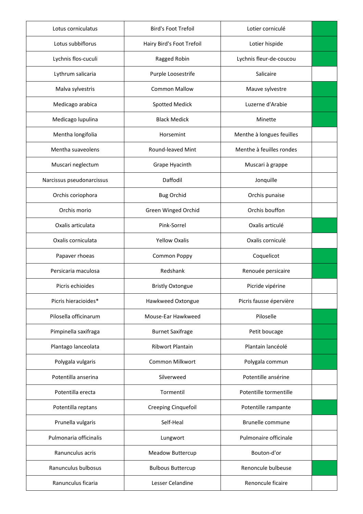| Lotus corniculatus        | <b>Bird's Foot Trefoil</b> | Lotier corniculé          |  |
|---------------------------|----------------------------|---------------------------|--|
| Lotus subbiflorus         | Hairy Bird's Foot Trefoil  | Lotier hispide            |  |
| Lychnis flos-cuculi       | Ragged Robin               | Lychnis fleur-de-coucou   |  |
| Lythrum salicaria         | Purple Loosestrife         | Salicaire                 |  |
| Malva sylvestris          | <b>Common Mallow</b>       | Mauve sylvestre           |  |
| Medicago arabica          | <b>Spotted Medick</b>      | Luzerne d'Arabie          |  |
| Medicago lupulina         | <b>Black Medick</b>        | Minette                   |  |
| Mentha longifolia         | Horsemint                  | Menthe à longues feuilles |  |
| Mentha suaveolens         | Round-leaved Mint          | Menthe à feuilles rondes  |  |
| Muscari neglectum         | Grape Hyacinth             | Muscari à grappe          |  |
| Narcissus pseudonarcissus | Daffodil                   | Jonquille                 |  |
| Orchis coriophora         | <b>Bug Orchid</b>          | Orchis punaise            |  |
| Orchis morio              | Green Winged Orchid        | Orchis bouffon            |  |
| Oxalis articulata         | Pink-Sorrel                | Oxalis articulé           |  |
| Oxalis corniculata        | <b>Yellow Oxalis</b>       | Oxalis corniculé          |  |
| Papaver rhoeas            | Common Poppy               | Coquelicot                |  |
| Persicaria maculosa       | Redshank                   | Renouée persicaire        |  |
| Picris echioides          | <b>Bristly Oxtongue</b>    | Picride vipérine          |  |
| Picris hieracioides*      | Hawkweed Oxtongue          | Picris fausse épervière   |  |
| Pilosella officinarum     | Mouse-Ear Hawkweed         | Piloselle                 |  |
| Pimpinella saxifraga      | <b>Burnet Saxifrage</b>    | Petit boucage             |  |
| Plantago lanceolata       | <b>Ribwort Plantain</b>    | Plantain lancéolé         |  |
| Polygala vulgaris         | Common Milkwort            | Polygala commun           |  |
| Potentilla anserina       | Silverweed                 | Potentille ansérine       |  |
| Potentilla erecta         | Tormentil                  | Potentille tormentille    |  |
| Potentilla reptans        | Creeping Cinquefoil        | Potentille rampante       |  |
| Prunella vulgaris         | Self-Heal                  | Brunelle commune          |  |
| Pulmonaria officinalis    | Lungwort                   | Pulmonaire officinale     |  |
| Ranunculus acris          | <b>Meadow Buttercup</b>    | Bouton-d'or               |  |
| Ranunculus bulbosus       | <b>Bulbous Buttercup</b>   | Renoncule bulbeuse        |  |
| Ranunculus ficaria        | Lesser Celandine           | Renoncule ficaire         |  |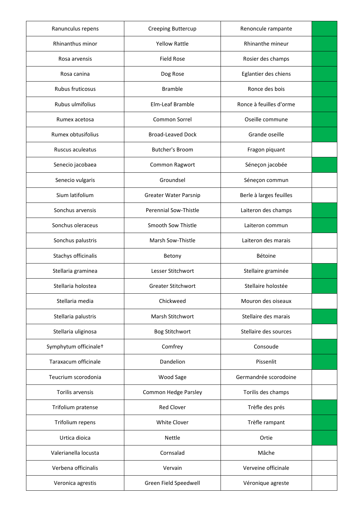| Ranunculus repens     | Creeping Buttercup           | Renoncule rampante      |  |
|-----------------------|------------------------------|-------------------------|--|
| Rhinanthus minor      | <b>Yellow Rattle</b>         | Rhinanthe mineur        |  |
| Rosa arvensis         | <b>Field Rose</b>            | Rosier des champs       |  |
| Rosa canina           | Dog Rose                     | Eglantier des chiens    |  |
| Rubus fruticosus      | <b>Bramble</b>               | Ronce des bois          |  |
| Rubus ulmifolius      | Elm-Leaf Bramble             | Ronce à feuilles d'orme |  |
| Rumex acetosa         | Common Sorrel                | Oseille commune         |  |
| Rumex obtusifolius    | <b>Broad-Leaved Dock</b>     | Grande oseille          |  |
| Ruscus aculeatus      | Butcher's Broom              | Fragon piquant          |  |
| Senecio jacobaea      | Common Ragwort               | Séneçon jacobée         |  |
| Senecio vulgaris      | Groundsel                    | Séneçon commun          |  |
| Sium latifolium       | <b>Greater Water Parsnip</b> | Berle à larges feuilles |  |
| Sonchus arvensis      | Perennial Sow-Thistle        | Laiteron des champs     |  |
| Sonchus oleraceus     | Smooth Sow Thistle           | Laiteron commun         |  |
| Sonchus palustris     | Marsh Sow-Thistle            | Laiteron des marais     |  |
| Stachys officinalis   | Betony                       | Bétoine                 |  |
| Stellaria graminea    | Lesser Stitchwort            | Stellaire graminée      |  |
| Stellaria holostea    | <b>Greater Stitchwort</b>    | Stellaire holostée      |  |
| Stellaria media       | Chickweed                    | Mouron des oiseaux      |  |
| Stellaria palustris   | Marsh Stitchwort             | Stellaire des marais    |  |
| Stellaria uliginosa   | <b>Bog Stitchwort</b>        | Stellaire des sources   |  |
| Symphytum officinale+ | Comfrey                      | Consoude                |  |
| Taraxacum officinale  | Dandelion                    | Pissenlit               |  |
| Teucrium scorodonia   | Wood Sage                    | Germandrée scorodoine   |  |
| Torilis arvensis      | Common Hedge Parsley         | Torilis des champs      |  |
| Trifolium pratense    | <b>Red Clover</b>            | Trèfle des prés         |  |
| Trifolium repens      | White Clover                 | Trèfle rampant          |  |
| Urtica dioica         | Nettle                       | Ortie                   |  |
| Valerianella locusta  | Cornsalad                    | Mâche                   |  |
| Verbena officinalis   | Vervain                      | Verveine officinale     |  |
| Veronica agrestis     | Green Field Speedwell        | Véronique agreste       |  |